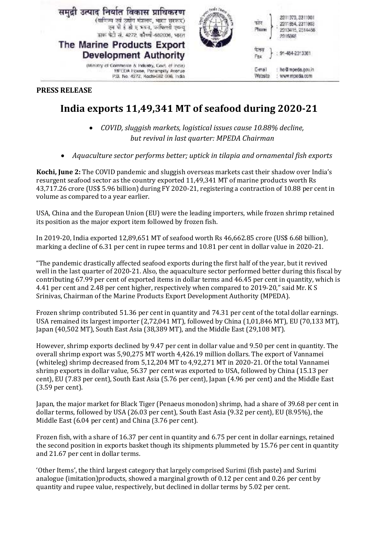

## **PRESS RELEASE**

## **India exports 11,49,341 MT of seafood during 2020-21**

- *COVID, sluggish markets, logistical issues cause 10.88% decline, but revival in last quarter: MPEDA Chairman*
- *Aquaculture sector performs better; uptick in tilapia and ornamental fish exports*

**Kochi, June 2:** The COVID pandemic and sluggish overseas markets cast their shadow over India's resurgent seafood sector as the country exported 11,49,341 MT of marine products worth Rs 43,717.26 crore (US\$ 5.96 billion) during FY 2020-21, registering a contraction of 10.88 per cent in volume as compared to a year earlier.

USA, China and the European Union (EU) were the leading importers, while frozen shrimp retained its position as the major export item followed by frozen fish.

In 2019-20, India exported 12,89,651 MT of seafood worth Rs 46,662.85 crore (US\$ 6.68 billion), marking a decline of 6.31 per cent in rupee terms and 10.81 per cent in dollar value in 2020-21.

"The pandemic drastically affected seafood exports during the first half of the year, but it revived well in the last quarter of 2020-21. Also, the aquaculture sector performed better during this fiscal by contributing 67.99 per cent of exported items in dollar terms and 46.45 per cent in quantity, which is 4.41 per cent and 2.48 per cent higher, respectively when compared to 2019-20," said Mr. K S Srinivas, Chairman of the Marine Products Export Development Authority (MPEDA).

Frozen shrimp contributed 51.36 per cent in quantity and 74.31 per cent of the total dollar earnings. USA remained its largest importer (2,72,041 MT), followed by China (1,01,846 MT), EU (70,133 MT), Japan (40,502 MT), South East Asia (38,389 MT), and the Middle East (29,108 MT).

However, shrimp exports declined by 9.47 per cent in dollar value and 9.50 per cent in quantity. The overall shrimp export was 5,90,275 MT worth 4,426.19 million dollars. The export of Vannamei (whiteleg) shrimp decreased from 5,12,204 MT to 4,92,271 MT in 2020-21. Of the total Vannamei shrimp exports in dollar value, 56.37 per cent was exported to USA, followed by China (15.13 per cent), EU (7.83 per cent), South East Asia (5.76 per cent), Japan (4.96 per cent) and the Middle East (3.59 per cent).

Japan, the major market for Black Tiger (Penaeus monodon) shrimp, had a share of 39.68 per cent in dollar terms, followed by USA (26.03 per cent), South East Asia (9.32 per cent), EU (8.95%), the Middle East (6.04 per cent) and China (3.76 per cent).

Frozen fish, with a share of 16.37 per cent in quantity and 6.75 per cent in dollar earnings, retained the second position in exports basket though its shipments plummeted by 15.76 per cent in quantity and 21.67 per cent in dollar terms.

'Other Items', the third largest category that largely comprised Surimi (fish paste) and Surimi analogue (imitation)products, showed a marginal growth of 0.12 per cent and 0.26 per cent by quantity and rupee value, respectively, but declined in dollar terms by 5.02 per cent.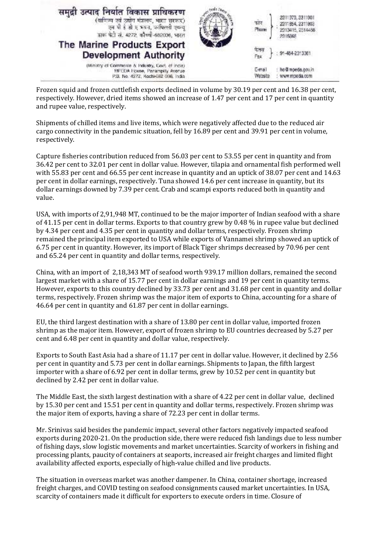| (वाणिज्य एवं उद्योग मंत्रालय, भारत सरकार)<br>एम पी है जी ए भवन, फांपिल्ली एकन्यु<br>डाक फेटी सं. 4272. कौच्ची-682036, भारत<br>The Marine Products Export<br><b>Development Authority</b> | फान<br>Phone<br>Fax | 2311979.2311901<br>2311854, 2311903<br>2013415, 2514488<br>2315065<br>91-484-2313361 |  |
|------------------------------------------------------------------------------------------------------------------------------------------------------------------------------------------|---------------------|--------------------------------------------------------------------------------------|--|
| (Ministry of Commerce & Industry, Covt. of incis).<br>MFTDA House, Panampilly Avenue<br>P.B. No. 4272, Kochi-682 036, India                                                              | E-mail<br>Website   | he dimpeda.gov.in<br>www.mpeda.com                                                   |  |

Frozen squid and frozen cuttlefish exports declined in volume by 30.19 per cent and 16.38 per cent, respectively. However, dried items showed an increase of 1.47 per cent and 17 per cent in quantity and rupee value, respectively.

Shipments of chilled items and live items, which were negatively affected due to the reduced air cargo connectivity in the pandemic situation, fell by 16.89 per cent and 39.91 per cent in volume, respectively.

Capture fisheries contribution reduced from 56.03 per cent to 53.55 per cent in quantity and from 36.42 per cent to 32.01 per cent in dollar value. However, tilapia and ornamental fish performed well with 55.83 per cent and 66.55 per cent increase in quantity and an uptick of 38.07 per cent and 14.63 per cent in dollar earnings, respectively. Tuna showed 14.6 per cent increase in quantity, but its dollar earnings downed by 7.39 per cent. Crab and scampi exports reduced both in quantity and value.

USA, with imports of 2,91,948 MT, continued to be the major importer of Indian seafood with a share of 41.15 per cent in dollar terms. Exports to that country grew by 0.48 % in rupee value but declined by 4.34 per cent and 4.35 per cent in quantity and dollar terms, respectively. Frozen shrimp remained the principal item exported to USA while exports of Vannamei shrimp showed an uptick of 6.75 per cent in quantity. However, its import of Black Tiger shrimps decreased by 70.96 per cent and 65.24 per cent in quantity and dollar terms, respectively.

China, with an import of 2,18,343 MT of seafood worth 939.17 million dollars, remained the second largest market with a share of 15.77 per cent in dollar earnings and 19 per cent in quantity terms. However, exports to this country declined by 33.73 per cent and 31.68 per cent in quantity and dollar terms, respectively. Frozen shrimp was the major item of exports to China, accounting for a share of 46.64 per cent in quantity and 61.87 per cent in dollar earnings.

EU, the third largest destination with a share of 13.80 per cent in dollar value, imported frozen shrimp as the major item. However, export of frozen shrimp to EU countries decreased by 5.27 per cent and 6.48 per cent in quantity and dollar value, respectively.

Exports to South East Asia had a share of 11.17 per cent in dollar value. However, it declined by 2.56 per cent in quantity and 5.73 per cent in dollar earnings. Shipments to Japan, the fifth largest importer with a share of 6.92 per cent in dollar terms, grew by 10.52 per cent in quantity but declined by 2.42 per cent in dollar value.

The Middle East, the sixth largest destination with a share of 4.22 per cent in dollar value, declined by 15.30 per cent and 15.51 per cent in quantity and dollar terms, respectively. Frozen shrimp was the major item of exports, having a share of 72.23 per cent in dollar terms.

Mr. Srinivas said besides the pandemic impact, several other factors negatively impacted seafood exports during 2020-21. On the production side, there were reduced fish landings due to less number of fishing days, slow logistic movements and market uncertainties. Scarcity of workers in fishing and processing plants, paucity of containers at seaports, increased air freight charges and limited flight availability affected exports, especially of high-value chilled and live products.

The situation in overseas market was another dampener. In China, container shortage, increased freight charges, and COVID testing on seafood consignments caused market uncertainties. In USA, scarcity of containers made it difficult for exporters to execute orders in time. Closure of